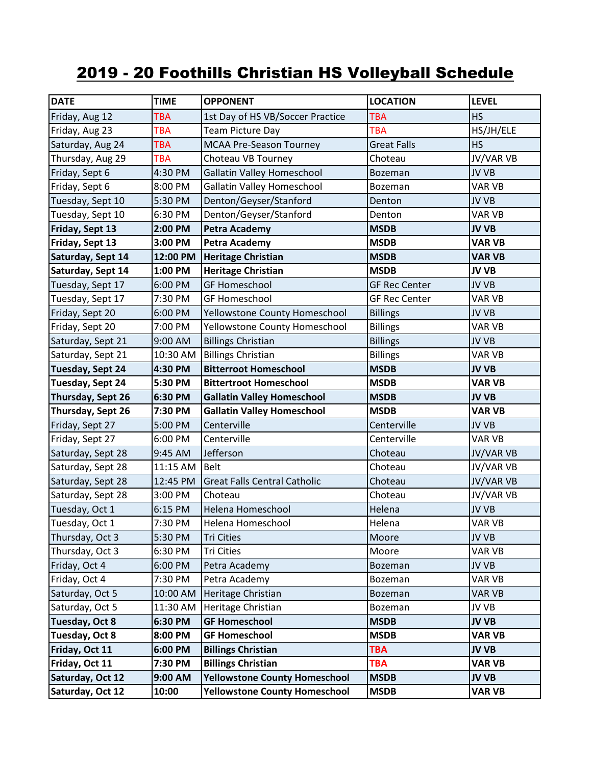## 2019 - 20 Foothills Christian HS Volleyball Schedule

| <b>DATE</b>       | <b>TIME</b> | <b>OPPONENT</b>                      | <b>LOCATION</b>      | <b>LEVEL</b>  |
|-------------------|-------------|--------------------------------------|----------------------|---------------|
| Friday, Aug 12    | <b>TBA</b>  | 1st Day of HS VB/Soccer Practice     | <b>TBA</b>           | <b>HS</b>     |
| Friday, Aug 23    | <b>TBA</b>  | <b>Team Picture Day</b>              | <b>TBA</b>           | HS/JH/ELE     |
| Saturday, Aug 24  | <b>TBA</b>  | <b>MCAA Pre-Season Tourney</b>       | <b>Great Falls</b>   | <b>HS</b>     |
| Thursday, Aug 29  | <b>TBA</b>  | Choteau VB Tourney                   | Choteau              | JV/VAR VB     |
| Friday, Sept 6    | 4:30 PM     | <b>Gallatin Valley Homeschool</b>    | <b>Bozeman</b>       | <b>JV VB</b>  |
| Friday, Sept 6    | 8:00 PM     | <b>Gallatin Valley Homeschool</b>    | Bozeman              | VAR VB        |
| Tuesday, Sept 10  | 5:30 PM     | Denton/Geyser/Stanford               | Denton               | <b>JV VB</b>  |
| Tuesday, Sept 10  | 6:30 PM     | Denton/Geyser/Stanford               | Denton               | VAR VB        |
| Friday, Sept 13   | 2:00 PM     | <b>Petra Academy</b>                 | <b>MSDB</b>          | <b>JV VB</b>  |
| Friday, Sept 13   | 3:00 PM     | <b>Petra Academy</b>                 | <b>MSDB</b>          | <b>VAR VB</b> |
| Saturday, Sept 14 | 12:00 PM    | <b>Heritage Christian</b>            | <b>MSDB</b>          | <b>VAR VB</b> |
| Saturday, Sept 14 | 1:00 PM     | <b>Heritage Christian</b>            | <b>MSDB</b>          | <b>JV VB</b>  |
| Tuesday, Sept 17  | 6:00 PM     | <b>GF Homeschool</b>                 | <b>GF Rec Center</b> | JV VB         |
| Tuesday, Sept 17  | 7:30 PM     | <b>GF Homeschool</b>                 | <b>GF Rec Center</b> | VAR VB        |
| Friday, Sept 20   | 6:00 PM     | Yellowstone County Homeschool        | <b>Billings</b>      | JV VB         |
| Friday, Sept 20   | 7:00 PM     | Yellowstone County Homeschool        | <b>Billings</b>      | VAR VB        |
| Saturday, Sept 21 | 9:00 AM     | <b>Billings Christian</b>            | <b>Billings</b>      | JV VB         |
| Saturday, Sept 21 | 10:30 AM    | <b>Billings Christian</b>            | <b>Billings</b>      | VAR VB        |
| Tuesday, Sept 24  | 4:30 PM     | <b>Bitterroot Homeschool</b>         | <b>MSDB</b>          | <b>JV VB</b>  |
| Tuesday, Sept 24  | 5:30 PM     | <b>Bittertroot Homeschool</b>        | <b>MSDB</b>          | <b>VAR VB</b> |
| Thursday, Sept 26 | 6:30 PM     | <b>Gallatin Valley Homeschool</b>    | <b>MSDB</b>          | <b>JV VB</b>  |
| Thursday, Sept 26 | 7:30 PM     | <b>Gallatin Valley Homeschool</b>    | <b>MSDB</b>          | <b>VAR VB</b> |
| Friday, Sept 27   | 5:00 PM     | Centerville                          | Centerville          | JV VB         |
| Friday, Sept 27   | 6:00 PM     | Centerville                          | Centerville          | VAR VB        |
| Saturday, Sept 28 | 9:45 AM     | Jefferson                            | Choteau              | JV/VAR VB     |
| Saturday, Sept 28 | 11:15 AM    | <b>Belt</b>                          | Choteau              | JV/VAR VB     |
| Saturday, Sept 28 | 12:45 PM    | <b>Great Falls Central Catholic</b>  | Choteau              | JV/VAR VB     |
| Saturday, Sept 28 | 3:00 PM     | Choteau                              | Choteau              | JV/VAR VB     |
| Tuesday, Oct 1    | 6:15 PM     | Helena Homeschool                    | Helena               | JV VB         |
| Tuesday, Oct 1    | 7:30 PM     | Helena Homeschool                    | Helena               | VAR VB        |
| Thursday, Oct 3   | 5:30 PM     | <b>Tri Cities</b>                    | Moore                | JV VB         |
| Thursday, Oct 3   | $6:30$ PM   | <b>Tri Cities</b>                    | Moore                | VAR VB        |
| Friday, Oct 4     | 6:00 PM     | Petra Academy                        | Bozeman              | JV VB         |
| Friday, Oct 4     | 7:30 PM     | Petra Academy                        | Bozeman              | VAR VB        |
| Saturday, Oct 5   | 10:00 AM    | Heritage Christian                   | Bozeman              | VAR VB        |
| Saturday, Oct 5   | 11:30 AM    | Heritage Christian                   | Bozeman              | JV VB         |
| Tuesday, Oct 8    | 6:30 PM     | <b>GF Homeschool</b>                 | <b>MSDB</b>          | <b>JV VB</b>  |
| Tuesday, Oct 8    | 8:00 PM     | <b>GF Homeschool</b>                 | <b>MSDB</b>          | <b>VAR VB</b> |
| Friday, Oct 11    | 6:00 PM     | <b>Billings Christian</b>            | <b>TBA</b>           | <b>JV VB</b>  |
| Friday, Oct 11    | 7:30 PM     | <b>Billings Christian</b>            | <b>TBA</b>           | <b>VAR VB</b> |
| Saturday, Oct 12  | 9:00 AM     | <b>Yellowstone County Homeschool</b> | <b>MSDB</b>          | <b>JV VB</b>  |
| Saturday, Oct 12  | 10:00       | <b>Yellowstone County Homeschool</b> | <b>MSDB</b>          | <b>VAR VB</b> |